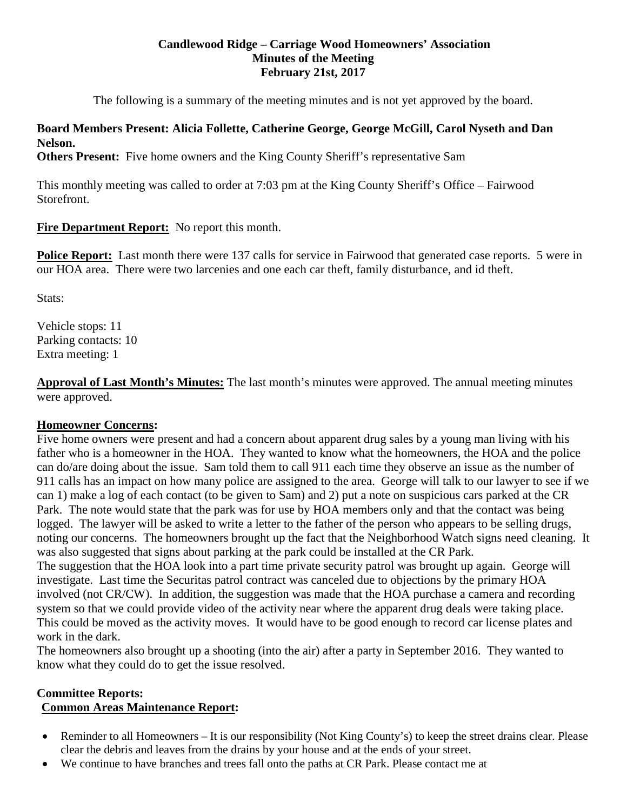## **Candlewood Ridge – Carriage Wood Homeowners' Association Minutes of the Meeting February 21st, 2017**

The following is a summary of the meeting minutes and is not yet approved by the board.

## **Board Members Present: Alicia Follette, Catherine George, George McGill, Carol Nyseth and Dan Nelson.**

**Others Present:** Five home owners and the King County Sheriff's representative Sam

This monthly meeting was called to order at 7:03 pm at the King County Sheriff's Office – Fairwood Storefront.

**Fire Department Report:** No report this month.

**Police Report:** Last month there were 137 calls for service in Fairwood that generated case reports. 5 were in our HOA area. There were two larcenies and one each car theft, family disturbance, and id theft.

Stats:

Vehicle stops: 11 Parking contacts: 10 Extra meeting: 1

**Approval of Last Month's Minutes:** The last month's minutes were approved. The annual meeting minutes were approved.

## **Homeowner Concerns:**

Five home owners were present and had a concern about apparent drug sales by a young man living with his father who is a homeowner in the HOA. They wanted to know what the homeowners, the HOA and the police can do/are doing about the issue. Sam told them to call 911 each time they observe an issue as the number of 911 calls has an impact on how many police are assigned to the area. George will talk to our lawyer to see if we can 1) make a log of each contact (to be given to Sam) and 2) put a note on suspicious cars parked at the CR Park. The note would state that the park was for use by HOA members only and that the contact was being logged. The lawyer will be asked to write a letter to the father of the person who appears to be selling drugs, noting our concerns. The homeowners brought up the fact that the Neighborhood Watch signs need cleaning. It was also suggested that signs about parking at the park could be installed at the CR Park. The suggestion that the HOA look into a part time private security patrol was brought up again. George will investigate. Last time the Securitas patrol contract was canceled due to objections by the primary HOA involved (not CR/CW). In addition, the suggestion was made that the HOA purchase a camera and recording

system so that we could provide video of the activity near where the apparent drug deals were taking place. This could be moved as the activity moves. It would have to be good enough to record car license plates and work in the dark.

The homeowners also brought up a shooting (into the air) after a party in September 2016. They wanted to know what they could do to get the issue resolved.

## **Committee Reports: Common Areas Maintenance Report:**

- Reminder to all Homeowners It is our responsibility (Not King County's) to keep the street drains clear. Please clear the debris and leaves from the drains by your house and at the ends of your street.
- We continue to have branches and trees fall onto the paths at CR Park. Please contact me at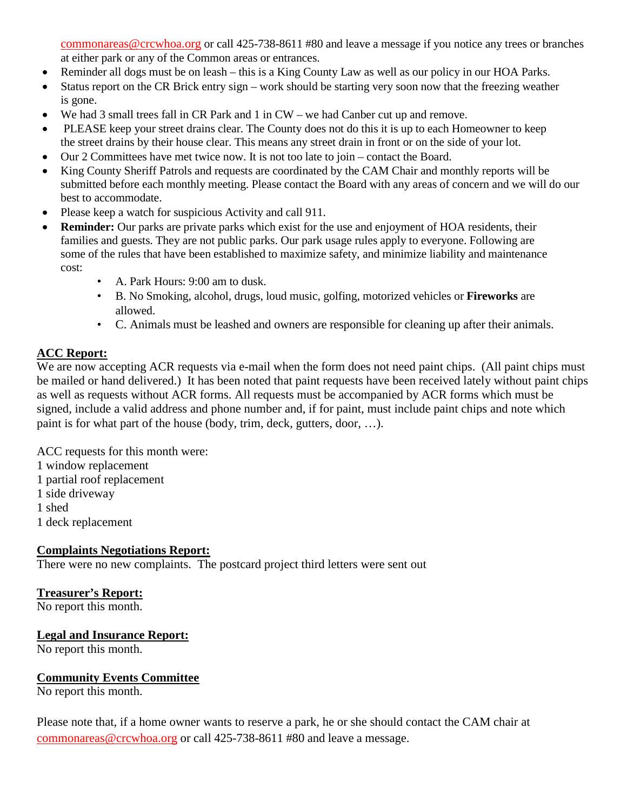[commonareas@crcwhoa.org](mailto:commonareas@crcwhoa.org) or call 425-738-8611 #80 and leave a message if you notice any trees or branches at either park or any of the Common areas or entrances.

- Reminder all dogs must be on leash this is a King County Law as well as our policy in our HOA Parks.
- Status report on the CR Brick entry sign work should be starting very soon now that the freezing weather is gone.
- We had 3 small trees fall in CR Park and 1 in CW we had Canber cut up and remove.
- PLEASE keep your street drains clear. The County does not do this it is up to each Homeowner to keep the street drains by their house clear. This means any street drain in front or on the side of your lot.
- Our 2 Committees have met twice now. It is not too late to join contact the Board.
- King County Sheriff Patrols and requests are coordinated by the CAM Chair and monthly reports will be submitted before each monthly meeting. Please contact the Board with any areas of concern and we will do our best to accommodate.
- Please keep a watch for suspicious Activity and call 911.
- **Reminder:** Our parks are private parks which exist for the use and enjoyment of HOA residents, their families and guests. They are not public parks. Our park usage rules apply to everyone. Following are some of the rules that have been established to maximize safety, and minimize liability and maintenance cost:
	- A. Park Hours: 9:00 am to dusk.
	- B. No Smoking, alcohol, drugs, loud music, golfing, motorized vehicles or **Fireworks** are allowed.
	- C. Animals must be leashed and owners are responsible for cleaning up after their animals.

# **ACC Report:**

We are now accepting ACR requests via e-mail when the form does not need paint chips. (All paint chips must be mailed or hand delivered.) It has been noted that paint requests have been received lately without paint chips as well as requests without ACR forms. All requests must be accompanied by ACR forms which must be signed, include a valid address and phone number and, if for paint, must include paint chips and note which paint is for what part of the house (body, trim, deck, gutters, door, …).

- ACC requests for this month were: 1 window replacement 1 partial roof replacement
- 1 side driveway
- 1 shed

1 deck replacement

## **Complaints Negotiations Report:**

There were no new complaints. The postcard project third letters were sent out

# **Treasurer's Report:**

No report this month.

## **Legal and Insurance Report:**

No report this month.

## **Community Events Committee**

No report this month.

Please note that, if a home owner wants to reserve a park, he or she should contact the CAM chair at [commonareas@crcwhoa.org](mailto:commonareas@crcwhoa.org) or call 425-738-8611 #80 and leave a message.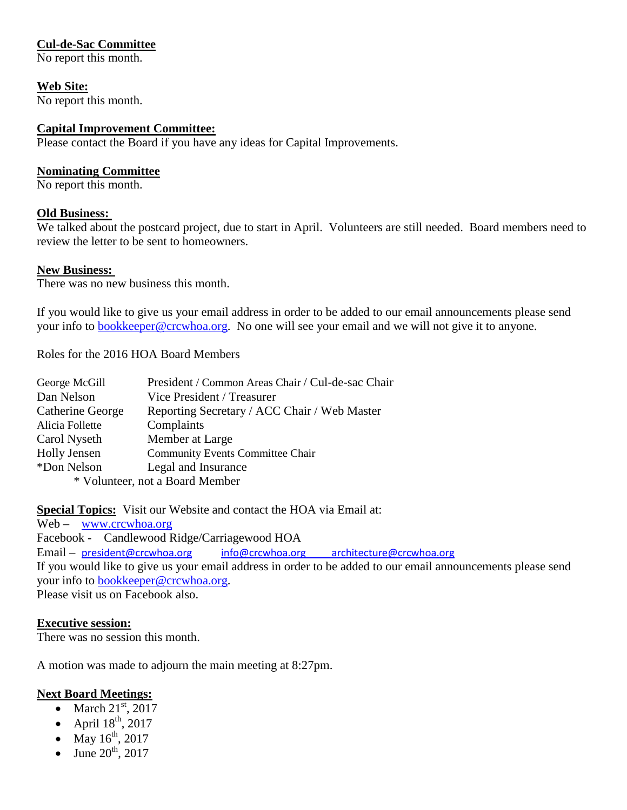## **Cul-de-Sac Committee**

No report this month.

**Web Site:** No report this month.

## **Capital Improvement Committee:**

Please contact the Board if you have any ideas for Capital Improvements.

## **Nominating Committee**

No report this month.

## **Old Business:**

We talked about the postcard project, due to start in April. Volunteers are still needed. Board members need to review the letter to be sent to homeowners.

## **New Business:**

There was no new business this month.

If you would like to give us your email address in order to be added to our email announcements please send your info to [bookkeeper@crcwhoa.org.](mailto:bookkeeper@crcwhoa.org) No one will see your email and we will not give it to anyone.

Roles for the 2016 HOA Board Members

| George McGill       | President / Common Areas Chair / Cul-de-sac Chair |
|---------------------|---------------------------------------------------|
| Dan Nelson          | Vice President / Treasurer                        |
| Catherine George    | Reporting Secretary / ACC Chair / Web Master      |
| Alicia Follette     | Complaints                                        |
| Carol Nyseth        | Member at Large                                   |
| <b>Holly Jensen</b> | <b>Community Events Committee Chair</b>           |
| *Don Nelson         | Legal and Insurance                               |
|                     | * Volunteer, not a Board Member                   |

**Special Topics:** Visit our Website and contact the HOA via Email at:

Web – [www.crcwhoa.org](http://www.crcwhoa.org/) Facebook - Candlewood Ridge/Carriagewood HOA Email – [president@crcwhoa.org](mailto:president@crcwhoa.org) [info@crcwhoa.org](mailto:info@crcwhoa.org) [architecture@crcwhoa.org](mailto:architecture@crcwhoa.org) If you would like to give us your email address in order to be added to our email announcements please send your info to [bookkeeper@crcwhoa.org.](mailto:bookkeeper@crcwhoa.org) Please visit us on Facebook also.

## **Executive session:**

There was no session this month.

A motion was made to adjourn the main meeting at 8:27pm.

## **Next Board Meetings:**

- March  $21<sup>st</sup>$ , 2017
- April  $18^{th}$ , 2017
- May  $16^{th}$ , 2017
- June  $20^{th}$ , 2017